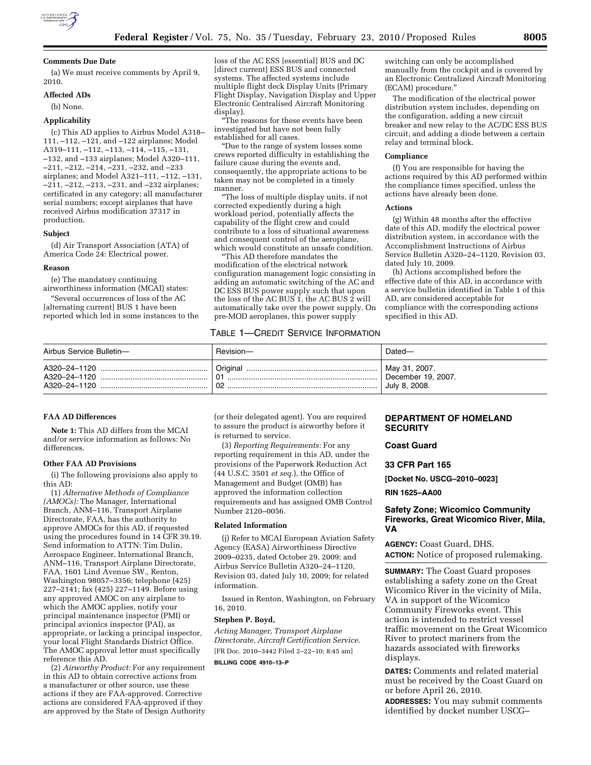#### **Comments Due Date**

(a) We must receive comments by April 9, 2010.

# **Affected ADs**

(b) None.

# **Applicability**

(c) This AD applies to Airbus Model A318– 111, –112, –121, and –122 airplanes; Model A319–111, –112, –113, –114, –115, –131, –132, and –133 airplanes; Model A320–111, –211, –212, –214, –231, –232, and –233 airplanes; and Model A321–111, –112, –131, –211, –212, –213, –231, and –232 airplanes; certificated in any category; all manufacturer serial numbers; except airplanes that have received Airbus modification 37317 in production.

#### **Subject**

(d) Air Transport Association (ATA) of America Code 24: Electrical power.

#### **Reason**

(e) The mandatory continuing airworthiness information (MCAI) states:

''Several occurrences of loss of the AC [alternating current] BUS 1 have been reported which led in some instances to the

loss of the AC ESS [essential] BUS and DC [direct current] ESS BUS and connected systems. The affected systems include multiple flight deck Display Units (Primary Flight Display, Navigation Display and Upper Electronic Centralised Aircraft Monitoring display).

''The reasons for these events have been investigated but have not been fully established for all cases.

''Due to the range of system losses some crews reported difficulty in establishing the failure cause during the events and, consequently, the appropriate actions to be taken may not be completed in a timely manner.

''The loss of multiple display units, if not corrected expediently during a high workload period, potentially affects the capability of the flight crew and could contribute to a loss of situational awareness and consequent control of the aeroplane, which would constitute an unsafe condition.

''This AD therefore mandates the modification of the electrical network configuration management logic consisting in adding an automatic switching of the AC and DC ESS BUS power supply such that upon the loss of the AC BUS 1, the AC BUS 2 will automatically take over the power supply. On pre-MOD aeroplanes, this power supply

# TABLE 1—CREDIT SERVICE INFORMATION

switching can only be accomplished manually from the cockpit and is covered by an Electronic Centralized Aircraft Monitoring (ECAM) procedure.''

The modification of the electrical power distribution system includes, depending on the configuration, adding a new circuit breaker and new relay to the AC/DC ESS BUS circuit, and adding a diode between a certain relay and terminal block.

### **Compliance**

(f) You are responsible for having the actions required by this AD performed within the compliance times specified, unless the actions have already been done.

#### **Actions**

(g) Within 48 months after the effective date of this AD, modify the electrical power distribution system, in accordance with the Accomplishment Instructions of Airbus Service Bulletin A320–24–1120, Revision 03, dated July 10, 2009.

(h) Actions accomplished before the effective date of this AD, in accordance with a service bulletin identified in Table 1 of this AD, are considered acceptable for compliance with the corresponding actions specified in this AD.

| Airbus Service Bulletin- | Revision- | Dated-             |
|--------------------------|-----------|--------------------|
|                          | Original  | May 31, 2007.      |
| A320-24-1120             | 01        | December 19, 2007. |
| A320-24-1120             | 02        | July 8, 2008.      |

# **FAA AD Differences**

**Note 1:** This AD differs from the MCAI and/or service information as follows: No differences.

#### **Other FAA AD Provisions**

(i) The following provisions also apply to this AD:

(1) *Alternative Methods of Compliance (AMOCs):* The Manager, International Branch, ANM–116, Transport Airplane Directorate, FAA, has the authority to approve AMOCs for this AD, if requested using the procedures found in 14 CFR 39.19. Send information to ATTN: Tim Dulin, Aerospace Engineer, International Branch, ANM–116, Transport Airplane Directorate, FAA, 1601 Lind Avenue SW., Renton, Washington 98057–3356; telephone (425) 227–2141; fax (425) 227–1149. Before using any approved AMOC on any airplane to which the AMOC applies, notify your principal maintenance inspector (PMI) or principal avionics inspector (PAI), as appropriate, or lacking a principal inspector, your local Flight Standards District Office. The AMOC approval letter must specifically reference this AD.

(2) *Airworthy Product:* For any requirement in this AD to obtain corrective actions from a manufacturer or other source, use these actions if they are FAA-approved. Corrective actions are considered FAA-approved if they are approved by the State of Design Authority (or their delegated agent). You are required to assure the product is airworthy before it is returned to service.

(3) *Reporting Requirements:* For any reporting requirement in this AD, under the provisions of the Paperwork Reduction Act (44 U.S.C. 3501 *et seq.*), the Office of Management and Budget (OMB) has approved the information collection requirements and has assigned OMB Control Number 2120–0056.

# **Related Information**

(j) Refer to MCAI European Aviation Safety Agency (EASA) Airworthiness Directive 2009–0235, dated October 29, 2009; and Airbus Service Bulletin A320–24–1120, Revision 03, dated July 10, 2009; for related information.

Issued in Renton, Washington, on February 16, 2010.

## **Stephen P. Boyd,**

*Acting Manager, Transport Airplane Directorate, Aircraft Certification Service.*  [FR Doc. 2010–3442 Filed 2–22–10; 8:45 am]

**BILLING CODE 4910–13–P** 

# **DEPARTMENT OF HOMELAND SECURITY**

### **Coast Guard**

#### **33 CFR Part 165**

**[Docket No. USCG–2010–0023]** 

## **RIN 1625–AA00**

# **Safety Zone; Wicomico Community Fireworks, Great Wicomico River, Mila, VA**

**AGENCY:** Coast Guard, DHS. **ACTION:** Notice of proposed rulemaking.

**SUMMARY:** The Coast Guard proposes establishing a safety zone on the Great Wicomico River in the vicinity of Mila, VA in support of the Wicomico Community Fireworks event. This action is intended to restrict vessel traffic movement on the Great Wicomico River to protect mariners from the hazards associated with fireworks displays.

**DATES:** Comments and related material must be received by the Coast Guard on or before April 26, 2010.

**ADDRESSES:** You may submit comments identified by docket number USCG–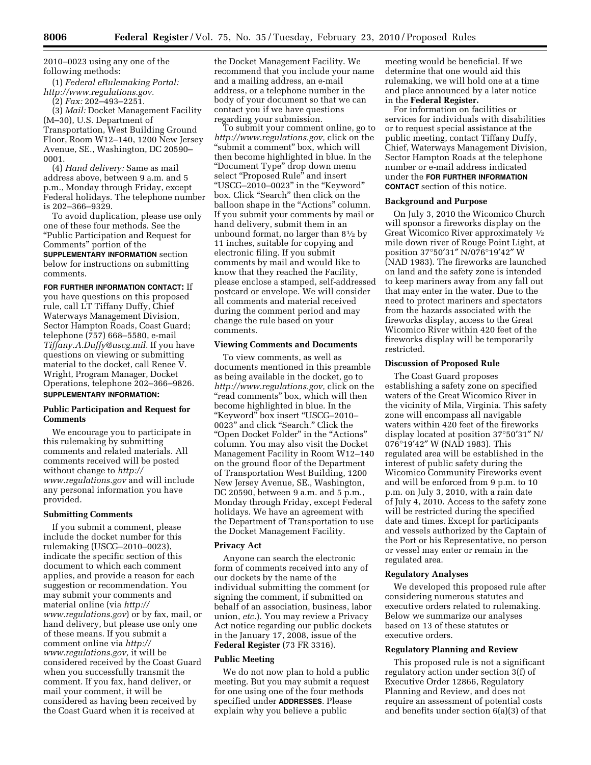2010–0023 using any one of the following methods:

(1) *Federal eRulemaking Portal: http://www.regulations.gov.* 

(2) *Fax:* 202–493–2251.

(3) *Mail:* Docket Management Facility (M–30), U.S. Department of Transportation, West Building Ground Floor, Room W12–140, 1200 New Jersey Avenue, SE., Washington, DC 20590– 0001.

(4) *Hand delivery:* Same as mail address above, between 9 a.m. and 5 p.m., Monday through Friday, except Federal holidays. The telephone number is 202–366–9329.

To avoid duplication, please use only one of these four methods. See the ''Public Participation and Request for Comments'' portion of the **SUPPLEMENTARY INFORMATION** section below for instructions on submitting comments.

**FOR FURTHER INFORMATION CONTACT:** If you have questions on this proposed rule, call LT Tiffany Duffy, Chief Waterways Management Division, Sector Hampton Roads, Coast Guard; telephone (757) 668–5580, e-mail *Tiffany.A.Duffy@uscg.mil.* If you have questions on viewing or submitting material to the docket, call Renee V. Wright, Program Manager, Docket Operations, telephone 202–366–9826.

# **SUPPLEMENTARY INFORMATION:**

## **Public Participation and Request for Comments**

We encourage you to participate in this rulemaking by submitting comments and related materials. All comments received will be posted without change to *http:// www.regulations.gov* and will include any personal information you have provided.

### **Submitting Comments**

If you submit a comment, please include the docket number for this rulemaking (USCG–2010–0023), indicate the specific section of this document to which each comment applies, and provide a reason for each suggestion or recommendation. You may submit your comments and material online (via *http:// www.regulations.gov*) or by fax, mail, or hand delivery, but please use only one of these means. If you submit a comment online via *http:// www.regulations.gov,* it will be considered received by the Coast Guard when you successfully transmit the comment. If you fax, hand deliver, or mail your comment, it will be considered as having been received by the Coast Guard when it is received at

the Docket Management Facility. We recommend that you include your name and a mailing address, an e-mail address, or a telephone number in the body of your document so that we can contact you if we have questions regarding your submission.

To submit your comment online, go to *http://www.regulations.gov,* click on the "submit a comment" box, which will then become highlighted in blue. In the ''Document Type'' drop down menu select "Proposed Rule" and insert ''USCG–2010–0023'' in the ''Keyword'' box. Click "Search" then click on the balloon shape in the "Actions" column. If you submit your comments by mail or hand delivery, submit them in an unbound format, no larger than 81⁄2 by 11 inches, suitable for copying and electronic filing. If you submit comments by mail and would like to know that they reached the Facility, please enclose a stamped, self-addressed postcard or envelope. We will consider all comments and material received during the comment period and may change the rule based on your comments.

### **Viewing Comments and Documents**

To view comments, as well as documents mentioned in this preamble as being available in the docket, go to *http://www.regulations.gov,* click on the "read comments" box, which will then become highlighted in blue. In the ''Keyword'' box insert ''USCG–2010– 0023'' and click ''Search.'' Click the ''Open Docket Folder'' in the ''Actions'' column. You may also visit the Docket Management Facility in Room W12–140 on the ground floor of the Department of Transportation West Building, 1200 New Jersey Avenue, SE., Washington, DC 20590, between 9 a.m. and 5 p.m., Monday through Friday, except Federal holidays. We have an agreement with the Department of Transportation to use the Docket Management Facility.

# **Privacy Act**

Anyone can search the electronic form of comments received into any of our dockets by the name of the individual submitting the comment (or signing the comment, if submitted on behalf of an association, business, labor union, *etc.*). You may review a Privacy Act notice regarding our public dockets in the January 17, 2008, issue of the **Federal Register** (73 FR 3316).

#### **Public Meeting**

We do not now plan to hold a public meeting. But you may submit a request for one using one of the four methods specified under **ADDRESSES**. Please explain why you believe a public

meeting would be beneficial. If we determine that one would aid this rulemaking, we will hold one at a time and place announced by a later notice in the **Federal Register.** 

For information on facilities or services for individuals with disabilities or to request special assistance at the public meeting, contact Tiffany Duffy, Chief, Waterways Management Division, Sector Hampton Roads at the telephone number or e-mail address indicated under the **FOR FURTHER INFORMATION CONTACT** section of this notice.

# **Background and Purpose**

On July 3, 2010 the Wicomico Church will sponsor a fireworks display on the Great Wicomico River approximately 1⁄2 mile down river of Rouge Point Light, at position 37°50′31″ N/076°19′42″ W (NAD 1983). The fireworks are launched on land and the safety zone is intended to keep mariners away from any fall out that may enter in the water. Due to the need to protect mariners and spectators from the hazards associated with the fireworks display, access to the Great Wicomico River within 420 feet of the fireworks display will be temporarily restricted.

### **Discussion of Proposed Rule**

The Coast Guard proposes establishing a safety zone on specified waters of the Great Wicomico River in the vicinity of Mila, Virginia. This safety zone will encompass all navigable waters within 420 feet of the fireworks display located at position 37°50′31″ N/ 076°19′42″ W (NAD 1983). This regulated area will be established in the interest of public safety during the Wicomico Community Fireworks event and will be enforced from 9 p.m. to 10 p.m. on July 3, 2010, with a rain date of July 4, 2010. Access to the safety zone will be restricted during the specified date and times. Except for participants and vessels authorized by the Captain of the Port or his Representative, no person or vessel may enter or remain in the regulated area.

## **Regulatory Analyses**

We developed this proposed rule after considering numerous statutes and executive orders related to rulemaking. Below we summarize our analyses based on 13 of these statutes or executive orders.

## **Regulatory Planning and Review**

This proposed rule is not a significant regulatory action under section 3(f) of Executive Order 12866, Regulatory Planning and Review, and does not require an assessment of potential costs and benefits under section 6(a)(3) of that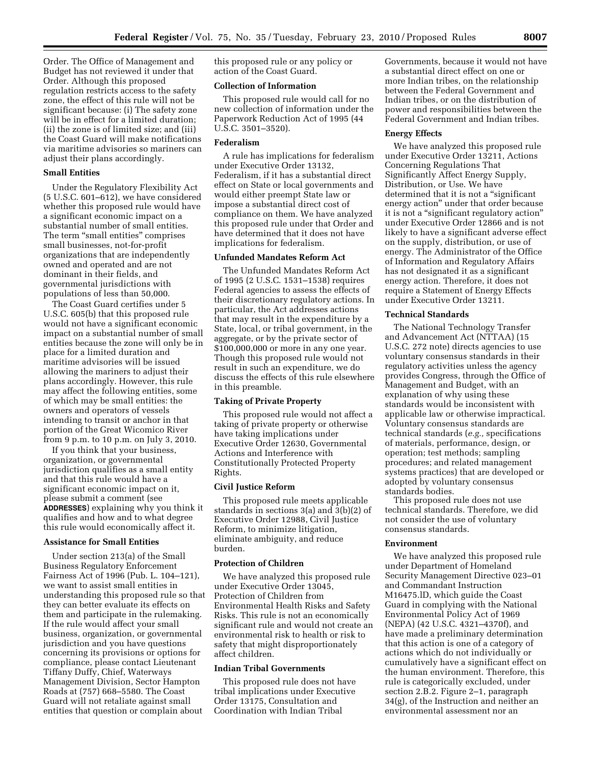Order. The Office of Management and Budget has not reviewed it under that Order. Although this proposed regulation restricts access to the safety zone, the effect of this rule will not be significant because: (i) The safety zone will be in effect for a limited duration; (ii) the zone is of limited size; and (iii) the Coast Guard will make notifications via maritime advisories so mariners can adjust their plans accordingly.

### **Small Entities**

Under the Regulatory Flexibility Act (5 U.S.C. 601–612), we have considered whether this proposed rule would have a significant economic impact on a substantial number of small entities. The term "small entities" comprises small businesses, not-for-profit organizations that are independently owned and operated and are not dominant in their fields, and governmental jurisdictions with populations of less than 50,000.

The Coast Guard certifies under 5 U.S.C. 605(b) that this proposed rule would not have a significant economic impact on a substantial number of small entities because the zone will only be in place for a limited duration and maritime advisories will be issued allowing the mariners to adjust their plans accordingly. However, this rule may affect the following entities, some of which may be small entities: the owners and operators of vessels intending to transit or anchor in that portion of the Great Wicomico River from 9 p.m. to 10 p.m. on July 3, 2010.

If you think that your business, organization, or governmental jurisdiction qualifies as a small entity and that this rule would have a significant economic impact on it, please submit a comment (see **ADDRESSES**) explaining why you think it qualifies and how and to what degree this rule would economically affect it.

## **Assistance for Small Entities**

Under section 213(a) of the Small Business Regulatory Enforcement Fairness Act of 1996 (Pub. L. 104–121), we want to assist small entities in understanding this proposed rule so that they can better evaluate its effects on them and participate in the rulemaking. If the rule would affect your small business, organization, or governmental jurisdiction and you have questions concerning its provisions or options for compliance, please contact Lieutenant Tiffany Duffy, Chief, Waterways Management Division, Sector Hampton Roads at (757) 668–5580. The Coast Guard will not retaliate against small entities that question or complain about

this proposed rule or any policy or action of the Coast Guard.

### **Collection of Information**

This proposed rule would call for no new collection of information under the Paperwork Reduction Act of 1995 (44 U.S.C. 3501–3520).

# **Federalism**

A rule has implications for federalism under Executive Order 13132, Federalism, if it has a substantial direct effect on State or local governments and would either preempt State law or impose a substantial direct cost of compliance on them. We have analyzed this proposed rule under that Order and have determined that it does not have implications for federalism.

### **Unfunded Mandates Reform Act**

The Unfunded Mandates Reform Act of 1995 (2 U.S.C. 1531–1538) requires Federal agencies to assess the effects of their discretionary regulatory actions. In particular, the Act addresses actions that may result in the expenditure by a State, local, or tribal government, in the aggregate, or by the private sector of \$100,000,000 or more in any one year. Though this proposed rule would not result in such an expenditure, we do discuss the effects of this rule elsewhere in this preamble.

## **Taking of Private Property**

This proposed rule would not affect a taking of private property or otherwise have taking implications under Executive Order 12630, Governmental Actions and Interference with Constitutionally Protected Property Rights.

## **Civil Justice Reform**

This proposed rule meets applicable standards in sections 3(a) and 3(b)(2) of Executive Order 12988, Civil Justice Reform, to minimize litigation, eliminate ambiguity, and reduce burden.

## **Protection of Children**

We have analyzed this proposed rule under Executive Order 13045, Protection of Children from Environmental Health Risks and Safety Risks. This rule is not an economically significant rule and would not create an environmental risk to health or risk to safety that might disproportionately affect children.

#### **Indian Tribal Governments**

This proposed rule does not have tribal implications under Executive Order 13175, Consultation and Coordination with Indian Tribal

Governments, because it would not have a substantial direct effect on one or more Indian tribes, on the relationship between the Federal Government and Indian tribes, or on the distribution of power and responsibilities between the Federal Government and Indian tribes.

### **Energy Effects**

We have analyzed this proposed rule under Executive Order 13211, Actions Concerning Regulations That Significantly Affect Energy Supply, Distribution, or Use. We have determined that it is not a ''significant energy action'' under that order because it is not a "significant regulatory action" under Executive Order 12866 and is not likely to have a significant adverse effect on the supply, distribution, or use of energy. The Administrator of the Office of Information and Regulatory Affairs has not designated it as a significant energy action. Therefore, it does not require a Statement of Energy Effects under Executive Order 13211.

# **Technical Standards**

The National Technology Transfer and Advancement Act (NTTAA) (15 U.S.C. 272 note) directs agencies to use voluntary consensus standards in their regulatory activities unless the agency provides Congress, through the Office of Management and Budget, with an explanation of why using these standards would be inconsistent with applicable law or otherwise impractical. Voluntary consensus standards are technical standards (*e.g.,* specifications of materials, performance, design, or operation; test methods; sampling procedures; and related management systems practices) that are developed or adopted by voluntary consensus standards bodies.

This proposed rule does not use technical standards. Therefore, we did not consider the use of voluntary consensus standards.

## **Environment**

We have analyzed this proposed rule under Department of Homeland Security Management Directive 023–01 and Commandant Instruction M16475.lD, which guide the Coast Guard in complying with the National Environmental Policy Act of 1969 (NEPA) (42 U.S.C. 4321–4370f), and have made a preliminary determination that this action is one of a category of actions which do not individually or cumulatively have a significant effect on the human environment. Therefore, this rule is categorically excluded, under section 2.B.2. Figure 2–1, paragraph 34(g), of the Instruction and neither an environmental assessment nor an